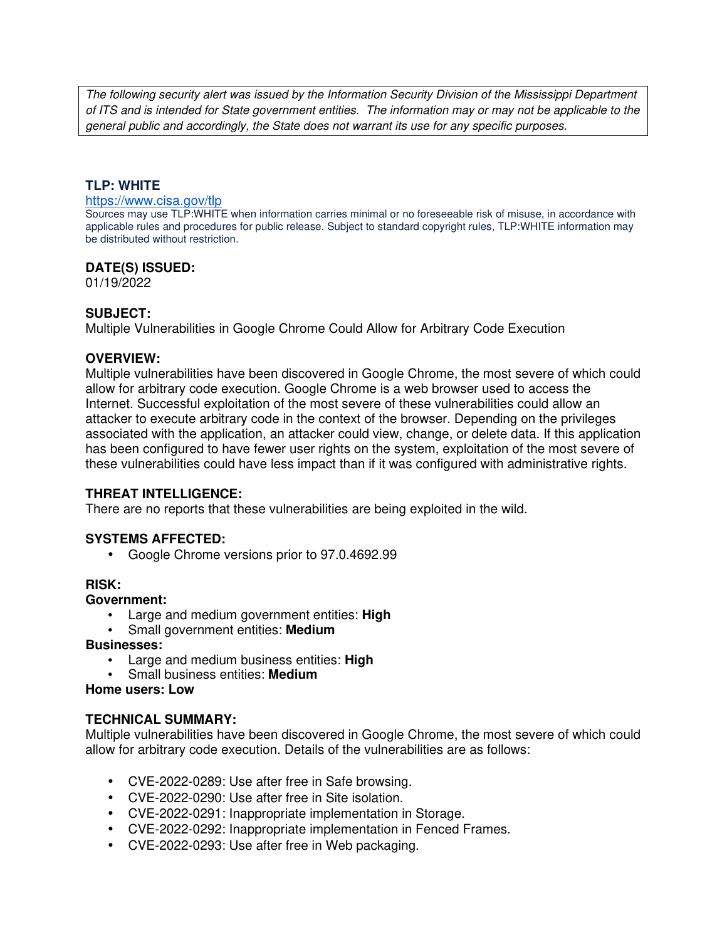The following security alert was issued by the Information Security Division of the Mississippi Department of ITS and is intended for State government entities. The information may or may not be applicable to the general public and accordingly, the State does not warrant its use for any specific purposes.

## **TLP: WHITE**

#### https://www.cisa.gov/tlp

Sources may use TLP:WHITE when information carries minimal or no foreseeable risk of misuse, in accordance with applicable rules and procedures for public release. Subject to standard copyright rules, TLP:WHITE information may be distributed without restriction.

### **DATE(S) ISSUED:**

01/19/2022

### **SUBJECT:**

Multiple Vulnerabilities in Google Chrome Could Allow for Arbitrary Code Execution

#### **OVERVIEW:**

Multiple vulnerabilities have been discovered in Google Chrome, the most severe of which could allow for arbitrary code execution. Google Chrome is a web browser used to access the Internet. Successful exploitation of the most severe of these vulnerabilities could allow an attacker to execute arbitrary code in the context of the browser. Depending on the privileges associated with the application, an attacker could view, change, or delete data. If this application has been configured to have fewer user rights on the system, exploitation of the most severe of these vulnerabilities could have less impact than if it was configured with administrative rights.

## **THREAT INTELLIGENCE:**

There are no reports that these vulnerabilities are being exploited in the wild.

## **SYSTEMS AFFECTED:**

• Google Chrome versions prior to 97.0.4692.99

#### **RISK:**

#### **Government:**

- Large and medium government entities: **High**
- Small government entities: **Medium**

#### **Businesses:**

- Large and medium business entities: **High**
- Small business entities: **Medium**

#### **Home users: Low**

## **TECHNICAL SUMMARY:**

Multiple vulnerabilities have been discovered in Google Chrome, the most severe of which could allow for arbitrary code execution. Details of the vulnerabilities are as follows:

- CVE-2022-0289: Use after free in Safe browsing.
- CVE-2022-0290: Use after free in Site isolation.
- CVE-2022-0291: Inappropriate implementation in Storage.
- CVE-2022-0292: Inappropriate implementation in Fenced Frames.
- CVE-2022-0293: Use after free in Web packaging.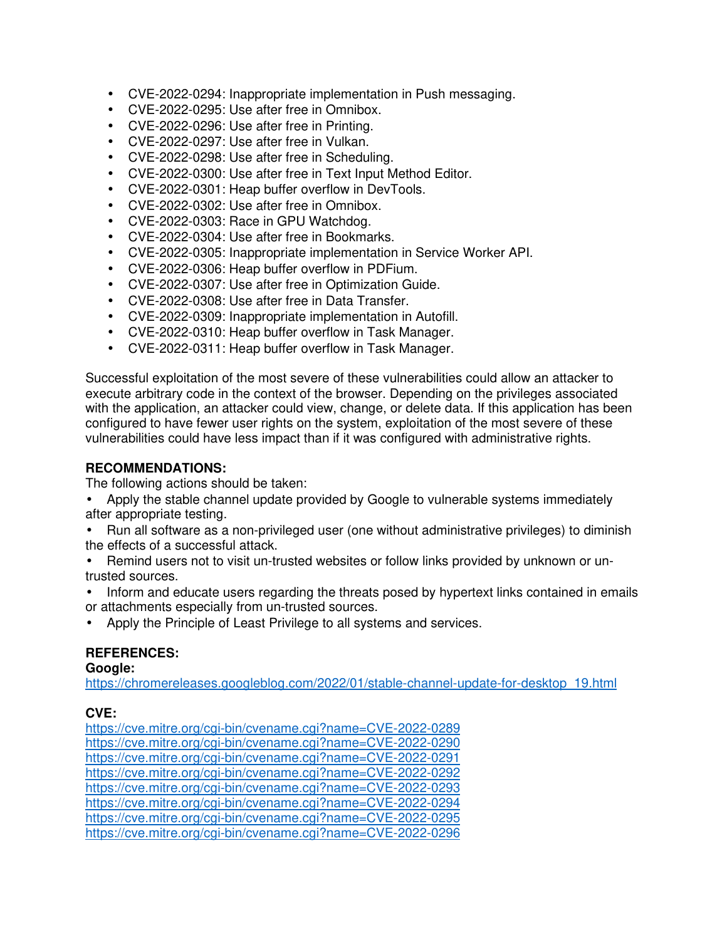- CVE-2022-0294: Inappropriate implementation in Push messaging.
- CVE-2022-0295: Use after free in Omnibox.
- CVE-2022-0296: Use after free in Printing.
- CVE-2022-0297: Use after free in Vulkan.
- CVE-2022-0298: Use after free in Scheduling.
- CVE-2022-0300: Use after free in Text Input Method Editor.
- CVE-2022-0301: Heap buffer overflow in DevTools.
- CVE-2022-0302: Use after free in Omnibox.
- CVE-2022-0303: Race in GPU Watchdog.
- CVE-2022-0304: Use after free in Bookmarks.
- CVE-2022-0305: Inappropriate implementation in Service Worker API.
- CVE-2022-0306: Heap buffer overflow in PDFium.
- CVE-2022-0307: Use after free in Optimization Guide.
- CVE-2022-0308: Use after free in Data Transfer.
- CVE-2022-0309: Inappropriate implementation in Autofill.
- CVE-2022-0310: Heap buffer overflow in Task Manager.
- CVE-2022-0311: Heap buffer overflow in Task Manager.

Successful exploitation of the most severe of these vulnerabilities could allow an attacker to execute arbitrary code in the context of the browser. Depending on the privileges associated with the application, an attacker could view, change, or delete data. If this application has been configured to have fewer user rights on the system, exploitation of the most severe of these vulnerabilities could have less impact than if it was configured with administrative rights.

## **RECOMMENDATIONS:**

The following actions should be taken:

- Apply the stable channel update provided by Google to vulnerable systems immediately after appropriate testing.
- Run all software as a non-privileged user (one without administrative privileges) to diminish the effects of a successful attack.
- Remind users not to visit un-trusted websites or follow links provided by unknown or untrusted sources.
- Inform and educate users regarding the threats posed by hypertext links contained in emails or attachments especially from un-trusted sources.
- Apply the Principle of Least Privilege to all systems and services.

# **REFERENCES:**

## **Google:**

https://chromereleases.googleblog.com/2022/01/stable-channel-update-for-desktop\_19.html

# **CVE:**

https://cve.mitre.org/cgi-bin/cvename.cgi?name=CVE-2022-0289 https://cve.mitre.org/cgi-bin/cvename.cgi?name=CVE-2022-0290 https://cve.mitre.org/cgi-bin/cvename.cgi?name=CVE-2022-0291 https://cve.mitre.org/cgi-bin/cvename.cgi?name=CVE-2022-0292 https://cve.mitre.org/cgi-bin/cvename.cgi?name=CVE-2022-0293 https://cve.mitre.org/cgi-bin/cvename.cgi?name=CVE-2022-0294 https://cve.mitre.org/cgi-bin/cvename.cgi?name=CVE-2022-0295 https://cve.mitre.org/cgi-bin/cvename.cgi?name=CVE-2022-0296